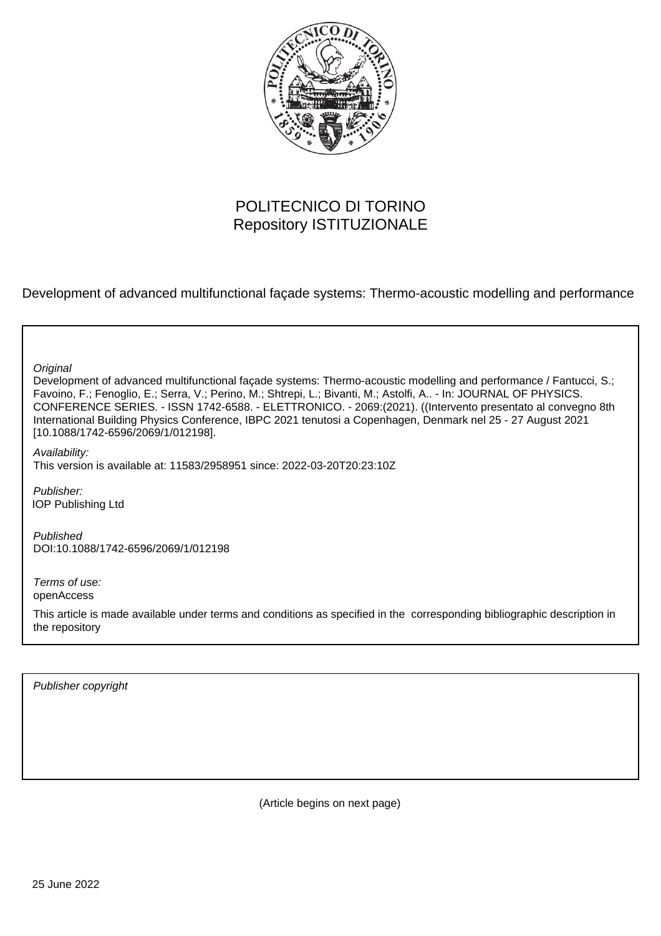

# POLITECNICO DI TORINO Repository ISTITUZIONALE

Development of advanced multifunctional façade systems: Thermo-acoustic modelling and performance

**Original** 

Development of advanced multifunctional façade systems: Thermo-acoustic modelling and performance / Fantucci, S.; Favoino, F.; Fenoglio, E.; Serra, V.; Perino, M.; Shtrepi, L.; Bivanti, M.; Astolfi, A.. - In: JOURNAL OF PHYSICS. CONFERENCE SERIES. - ISSN 1742-6588. - ELETTRONICO. - 2069:(2021). ((Intervento presentato al convegno 8th International Building Physics Conference, IBPC 2021 tenutosi a Copenhagen, Denmark nel 25 - 27 August 2021 [10.1088/1742-6596/2069/1/012198].

Availability: This version is available at: 11583/2958951 since: 2022-03-20T20:23:10Z

Publisher: IOP Publishing Ltd

Published DOI:10.1088/1742-6596/2069/1/012198

Terms of use: openAccess

This article is made available under terms and conditions as specified in the corresponding bibliographic description in the repository

Publisher copyright

(Article begins on next page)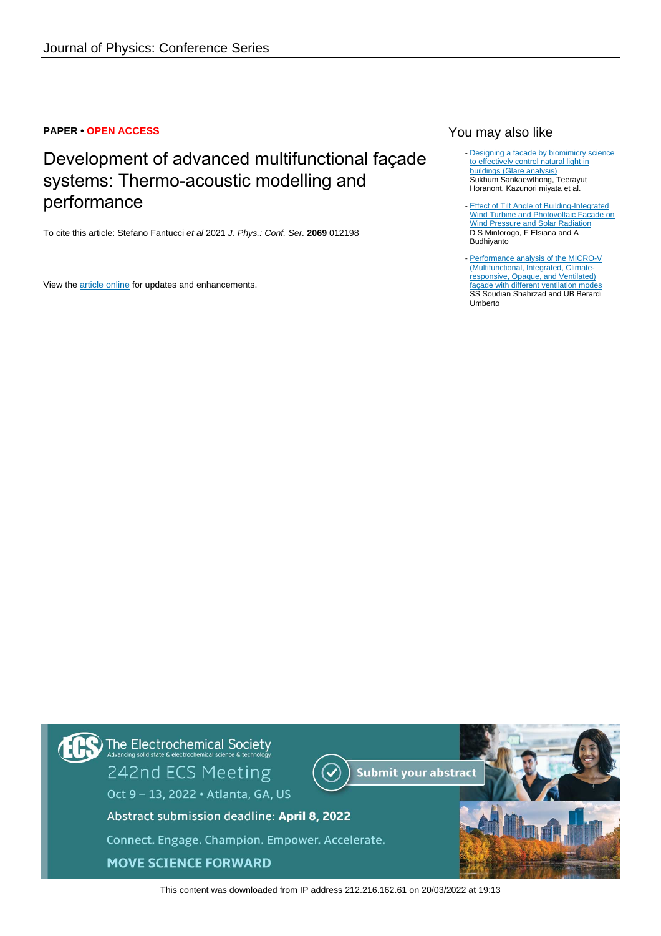### **PAPER • OPEN ACCESS**

# Development of advanced multifunctional façade systems: Thermo-acoustic modelling and performance

To cite this article: Stefano Fantucci et al 2021 J. Phys.: Conf. Ser. **2069** 012198

View the [article online](https://doi.org/10.1088/1742-6596/2069/1/012198) for updates and enhancements.

# You may also like

- [Designing a facade by biomimicry science](/article/10.1088/1757-899X/1148/1/012002) [to effectively control natural light in](/article/10.1088/1757-899X/1148/1/012002) [buildings \(Glare analysis\)](/article/10.1088/1757-899X/1148/1/012002) Sukhum Sankaewthong, Teerayut Horanont, Kazunori miyata et al.
- [Effect of Tilt Angle of Building-Integrated](/article/10.1088/1755-1315/520/1/012016) [Wind Turbine and Photovoltaic Façade on](/article/10.1088/1755-1315/520/1/012016) [Wind Pressure and Solar Radiation](/article/10.1088/1755-1315/520/1/012016) D S Mintorogo, F Elsiana and A Budhiyanto -
- [Performance analysis of the MICRO-V](/article/10.1088/1742-6596/2069/1/012024) [\(Multifunctional, Integrated, Climate](/article/10.1088/1742-6596/2069/1/012024)[responsive, Opaque, and Ventilated\)](/article/10.1088/1742-6596/2069/1/012024) [façade with different ventilation modes](/article/10.1088/1742-6596/2069/1/012024) SS Soudian Shahrzad and UB Berardi Umberto



This content was downloaded from IP address 212.216.162.61 on 20/03/2022 at 19:13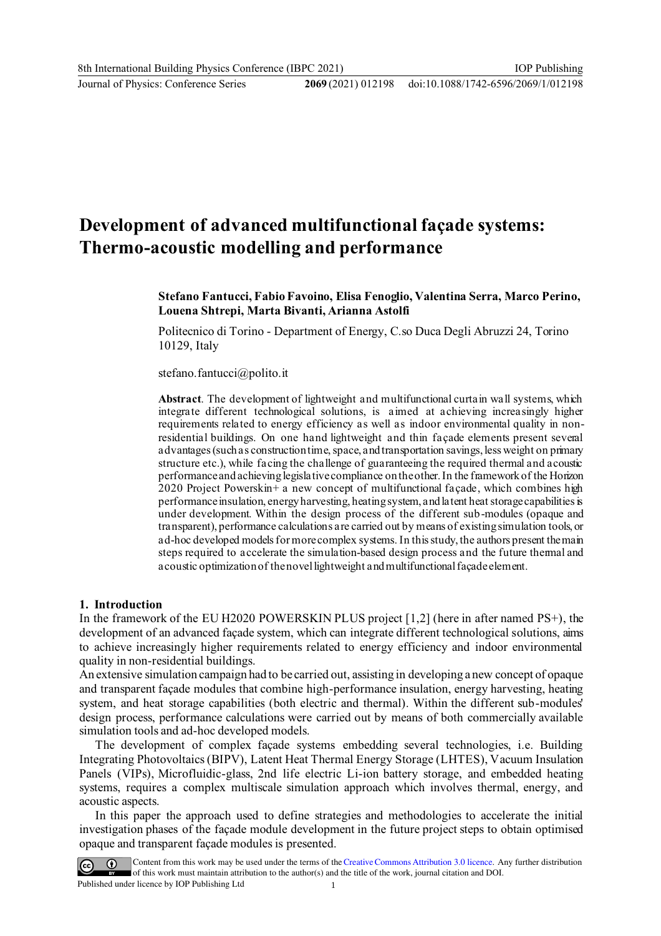Journal of Physics: Conference Series **2069** (2021) 012198

# **Development of advanced multifunctional façade systems: Thermo-acoustic modelling and performance**

### **Stefano Fantucci, Fabio Favoino, Elisa Fenoglio, Valentina Serra, Marco Perino, Louena Shtrepi, Marta Bivanti, Arianna Astolfi**

Politecnico di Torino - Department of Energy, C.so Duca Degli Abruzzi 24, Torino 10129, Italy

stefano.fantucci@polito.it

**Abstract**. The development of lightweight and multifunctional curtain wall systems, which integrate different technological solutions, is aimed at achieving increasingly higher requirements related to energy efficiency as well as indoor environmental quality in nonresidential buildings. On one hand lightweight and thin façade elements present several advantages (such as construction time, space, and transportation savings, less weight on primary structure etc.), while facing the challenge of guaranteeing the required thermal and acoustic performance and achieving legislative compliance on the other. In the framework of the Horizon 2020 Project Powerskin+ a new concept of multifunctional façade, which combines high performance insulation, energy harvesting, heating system, and latent heat storage capabilities is under development. Within the design process of the different sub-modules (opaque and transparent), performance calculations are carried out by means of existing simulation tools, or ad-hoc developed models for more complex systems. In this study, the authors present the main steps required to accelerate the simulation-based design process and the future thermal and acoustic optimization of the novel lightweight and multifunctional façade element.

#### **1. Introduction**

In the framework of the EU H2020 POWERSKIN PLUS project [1,2] (here in after named PS+), the development of an advanced façade system, which can integrate different technological solutions, aims to achieve increasingly higher requirements related to energy efficiency and indoor environmental quality in non-residential buildings.

An extensive simulation campaign had to be carried out, assisting in developing a new concept of opaque and transparent façade modules that combine high-performance insulation, energy harvesting, heating system, and heat storage capabilities (both electric and thermal). Within the different sub-modules' design process, performance calculations were carried out by means of both commercially available simulation tools and ad-hoc developed models.

The development of complex façade systems embedding several technologies, i.e. Building Integrating Photovoltaics (BIPV), Latent Heat Thermal Energy Storage (LHTES), Vacuum Insulation Panels (VIPs), Microfluidic-glass, 2nd life electric Li-ion battery storage, and embedded heating systems, requires a complex multiscale simulation approach which involves thermal, energy, and acoustic aspects.

In this paper the approach used to define strategies and methodologies to accelerate the initial investigation phases of the façade module development in the future project steps to obtain optimised opaque and transparent façade modules is presented.



Content from this work may be used under the terms of the Creative Commons Attribution 3.0 licence. Any further distribution of this work must maintain attribution to the author(s) and the title of the work, journal citation and DOI.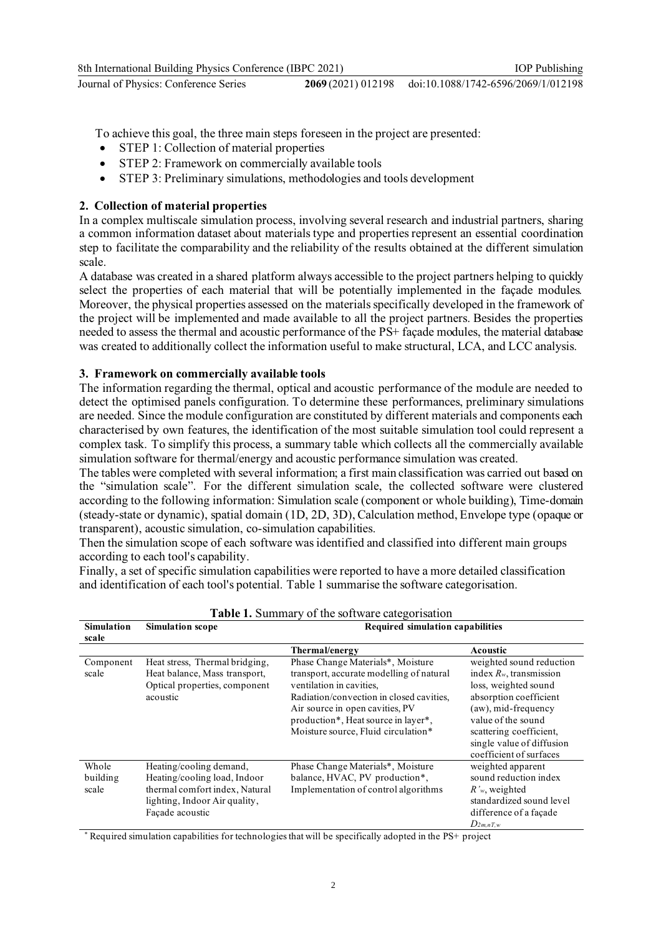To achieve this goal, the three main steps foreseen in the project are presented:

- STEP 1: Collection of material properties
- · STEP 2: Framework on commercially available tools
- · STEP 3: Preliminary simulations, methodologies and tools development

# **2. Collection of material properties**

In a complex multiscale simulation process, involving several research and industrial partners, sharing a common information dataset about materials type and properties represent an essential coordination step to facilitate the comparability and the reliability of the results obtained at the different simulation scale.

A database was created in a shared platform always accessible to the project partners helping to quickly select the properties of each material that will be potentially implemented in the façade modules. Moreover, the physical properties assessed on the materials specifically developed in the framework of the project will be implemented and made available to all the project partners. Besides the properties needed to assess the thermal and acoustic performance of the PS+ façade modules, the material database was created to additionally collect the information useful to make structural, LCA, and LCC analysis.

# **3. Framework on commercially available tools**

The information regarding the thermal, optical and acoustic performance of the module are needed to detect the optimised panels configuration. To determine these performances, preliminary simulations are needed. Since the module configuration are constituted by different materials and components each characterised by own features, the identification of the most suitable simulation tool could represent a complex task. To simplify this process, a summary table which collects all the commercially available simulation software for thermal/energy and acoustic performance simulation was created.

The tables were completed with several information; a first main classification was carried out based on the "simulation scale". For the different simulation scale, the collected software were clustered according to the following information: Simulation scale (component or whole building), Time-domain (steady-state or dynamic), spatial domain (1D, 2D, 3D), Calculation method, Envelope type (opaque or transparent), acoustic simulation, co-simulation capabilities.

Then the simulation scope of each software was identified and classified into different main groups according to each tool's capability.

Finally, a set of specific simulation capabilities were reported to have a more detailed classification and identification of each tool's potential. Table 1 summarise the software categorisation.

| <b>Table 1.</b> Summary of the software categorisation |                                                                                                                                               |                                                                                                                                                                                                                                                                        |                                                                                                                                                                                                                                          |  |
|--------------------------------------------------------|-----------------------------------------------------------------------------------------------------------------------------------------------|------------------------------------------------------------------------------------------------------------------------------------------------------------------------------------------------------------------------------------------------------------------------|------------------------------------------------------------------------------------------------------------------------------------------------------------------------------------------------------------------------------------------|--|
| <b>Simulation</b><br>scale                             | <b>Simulation scope</b>                                                                                                                       | <b>Required simulation capabilities</b>                                                                                                                                                                                                                                |                                                                                                                                                                                                                                          |  |
|                                                        |                                                                                                                                               | Thermal/energy                                                                                                                                                                                                                                                         | Acoustic                                                                                                                                                                                                                                 |  |
| Component<br>scale                                     | Heat stress, Thermal bridging,<br>Heat balance, Mass transport,<br>Optical properties, component<br>acoustic                                  | Phase Change Materials*, Moisture<br>transport, accurate modelling of natural<br>ventilation in cavities.<br>Radiation/convection in closed cavities,<br>Air source in open cavities, PV<br>production*, Heat source in layer*,<br>Moisture source, Fluid circulation* | weighted sound reduction<br>index $R_w$ , transmission<br>loss, weighted sound<br>absorption coefficient<br>(aw), mid-frequency<br>value of the sound<br>scattering coefficient.<br>single value of diffusion<br>coefficient of surfaces |  |
| Whole<br>building<br>scale                             | Heating/cooling demand,<br>Heating/cooling load, Indoor<br>thermal comfort index, Natural<br>lighting, Indoor Air quality,<br>Façade acoustic | Phase Change Materials*, Moisture<br>balance, HVAC, PV production*,<br>Implementation of control algorithms                                                                                                                                                            | weighted apparent<br>sound reduction index<br>$R'$ <sub>w</sub> , weighted<br>standardized sound level<br>difference of a façade<br>$D_{2m,nT,w}$                                                                                        |  |

**Table 1.** Summary of the software categorisation

\* Required simulation capabilities for technologies that will be specifically adopted in the PS+ project